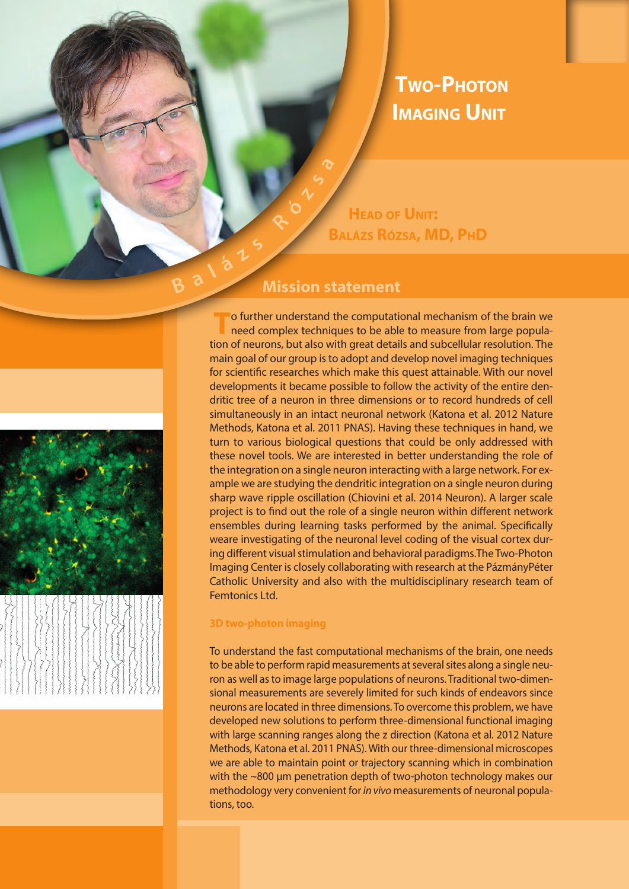## **Two-Photon Imaging Unit**

**ó z**

**R**

**Head of Unit: Balázs Rózsa, MD, PhD**

# **Mission statement <sup>a</sup> <sup>l</sup> <sup>á</sup> <sup>z</sup> <sup>s</sup>**

**B**

**T**o further understand the computational mechanism of the brain we need complex techniques to be able to measure from large population of neurons, but also with great details and subcellular resolution. The main goal of our group is to adopt and develop novel imaging techniques for scientific researches which make this quest attainable. With our novel developments it became possible to follow the activity of the entire dendritic tree of a neuron in three dimensions or to record hundreds of cell simultaneously in an intact neuronal network (Katona et al. 2012 Nature Methods, Katona et al. 2011 PNAS). Having these techniques in hand, we turn to various biological questions that could be only addressed with these novel tools. We are interested in better understanding the role of the integration on a single neuron interacting with a large network. For example we are studying the dendritic integration on a single neuron during sharp wave ripple oscillation (Chiovini et al. 2014 Neuron). A larger scale project is to find out the role of a single neuron within different network ensembles during learning tasks performed by the animal. Specifically weare investigating of the neuronal level coding of the visual cortex during different visual stimulation and behavioral paradigms.The Two-Photon Imaging Center is closely collaborating with research at the PázmányPéter Catholic University and also with the multidisciplinary research team of Femtonics Ltd.

### **3D two-photon imaging**

To understand the fast computational mechanisms of the brain, one needs to be able to perform rapid measurements at several sites along a single neuron as well as to image large populations of neurons. Traditional two-dimensional measurements are severely limited for such kinds of endeavors since neurons are located in three dimensions. To overcome this problem, we have developed new solutions to perform three-dimensional functional imaging with large scanning ranges along the z direction (Katona et al. 2012 Nature Methods, Katona et al. 2011 PNAS). With our three-dimensional microscopes we are able to maintain point or trajectory scanning which in combination with the ~800 µm penetration depth of two-photon technology makes our methodology very convenient for *in vivo* measurements of neuronal populations, too.